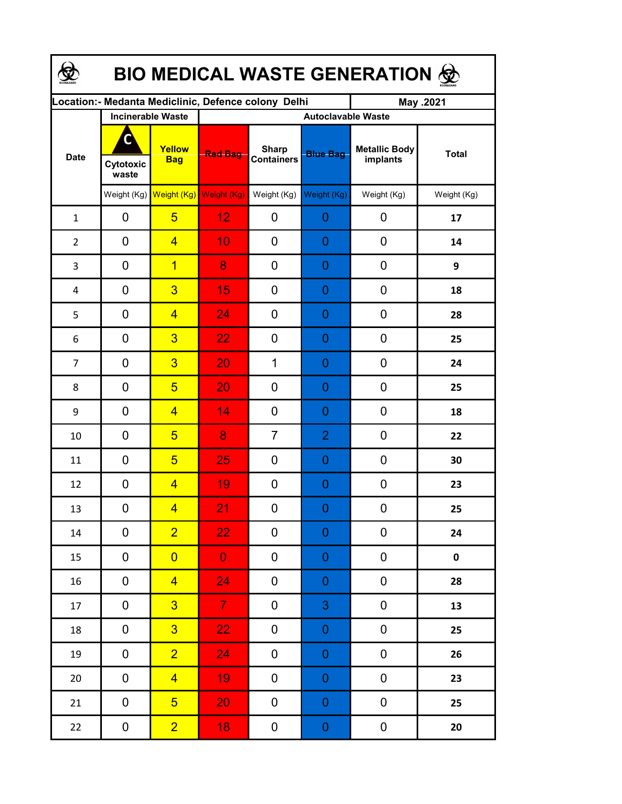| <b>BIO MEDICAL WASTE GENERATION ©</b> |                         |                                     |                                                     |                                   |                  |                                  |              |  |  |  |
|---------------------------------------|-------------------------|-------------------------------------|-----------------------------------------------------|-----------------------------------|------------------|----------------------------------|--------------|--|--|--|
|                                       |                         |                                     | Location:- Medanta Mediclinic, Defence colony Delhi |                                   |                  | May .2021                        |              |  |  |  |
| <b>Date</b>                           |                         | <b>Incinerable Waste</b>            | <b>Autoclavable Waste</b>                           |                                   |                  |                                  |              |  |  |  |
|                                       | C<br>Cytotoxic<br>waste | Yellow<br><b>Bag</b>                | <b>Red Bag</b>                                      | <b>Sharp</b><br><b>Containers</b> | <b>Blue Bag</b>  | <b>Metallic Body</b><br>implants | <b>Total</b> |  |  |  |
|                                       |                         | Weight (Kg) Weight (Kg) Weight (Kg) |                                                     | Weight (Kg)                       | Weight (Kg)      | Weight (Kg)                      | Weight (Kg)  |  |  |  |
| $\mathbf{1}$                          | 0                       | $5\overline{)}$                     | 12                                                  | 0                                 | 0                | 0                                | 17           |  |  |  |
| $\overline{2}$                        | 0                       | $\overline{4}$                      | 10                                                  | 0                                 | 0                | 0                                | 14           |  |  |  |
| 3                                     | 0                       | $\overline{1}$                      | 8                                                   | 0                                 | 0                | 0                                | 9            |  |  |  |
| 4                                     | 0                       | $\overline{3}$                      | 15                                                  | 0                                 | 0                | 0                                | 18           |  |  |  |
| 5                                     | 0                       | $\overline{4}$                      | 24                                                  | 0                                 | 0                | 0                                | 28           |  |  |  |
| 6                                     | 0                       | $\overline{3}$                      | 22                                                  | 0                                 | 0                | 0                                | 25           |  |  |  |
| $\overline{7}$                        | 0                       | $\overline{3}$                      | 20                                                  | 1                                 | 0                | 0                                | 24           |  |  |  |
| 8                                     | 0                       | $\overline{5}$                      | 20                                                  | 0                                 | 0                | 0                                | 25           |  |  |  |
| 9                                     | 0                       | $\overline{4}$                      | 14                                                  | 0                                 | 0                | 0                                | 18           |  |  |  |
| 10                                    | 0                       | $\overline{5}$                      | 8                                                   | $\overline{7}$                    | $\overline{2}$   | $\mathbf 0$                      | 22           |  |  |  |
| 11                                    | 0                       | $5\overline{)}$                     | 25                                                  | 0                                 | $\overline{0}$   | $\mathbf 0$                      | 30           |  |  |  |
| 12                                    | 0                       | $\overline{4}$                      | 19                                                  | 0                                 | 0                | 0                                | 23           |  |  |  |
| 13                                    | 0                       | $\overline{4}$                      | 21                                                  | 0                                 | $\Omega$         | $\boldsymbol{0}$                 | 25           |  |  |  |
| $14\,$                                | 0                       | $\overline{2}$                      | 22                                                  | 0                                 | $\boldsymbol{0}$ | 0                                | 24           |  |  |  |
| 15                                    | 0                       | $\overline{0}$                      | $\overline{0}$                                      | 0                                 | $\boldsymbol{0}$ | 0                                | $\mathbf 0$  |  |  |  |
| 16                                    | 0                       | $\overline{4}$                      | 24                                                  | 0                                 | $\boldsymbol{0}$ | 0                                | 28           |  |  |  |
| 17                                    | $\pmb{0}$               | $\overline{3}$                      | 7 <sup>1</sup>                                      | 0                                 | 3                | $\pmb{0}$                        | 13           |  |  |  |
| 18                                    | $\pmb{0}$               | $\overline{3}$                      | 22 <sub>1</sub>                                     | 0                                 | $\boldsymbol{0}$ | $\pmb{0}$                        | 25           |  |  |  |
| 19                                    | 0                       | $\overline{2}$                      | 24                                                  | 0                                 | $\boldsymbol{0}$ | 0                                | 26           |  |  |  |
| $20\,$                                | 0                       | $\overline{4}$                      | 19                                                  | 0                                 | $\boldsymbol{0}$ | $\pmb{0}$                        | 23           |  |  |  |
| 21                                    | $\pmb{0}$               | 5 <sup>5</sup>                      | 20                                                  | 0                                 | $\boldsymbol{0}$ | $\pmb{0}$                        | 25           |  |  |  |
| 22                                    | $\mathbf 0$             | $\overline{2}$                      | 18                                                  | 0                                 | $\boldsymbol{0}$ | $\boldsymbol{0}$                 | $20\,$       |  |  |  |